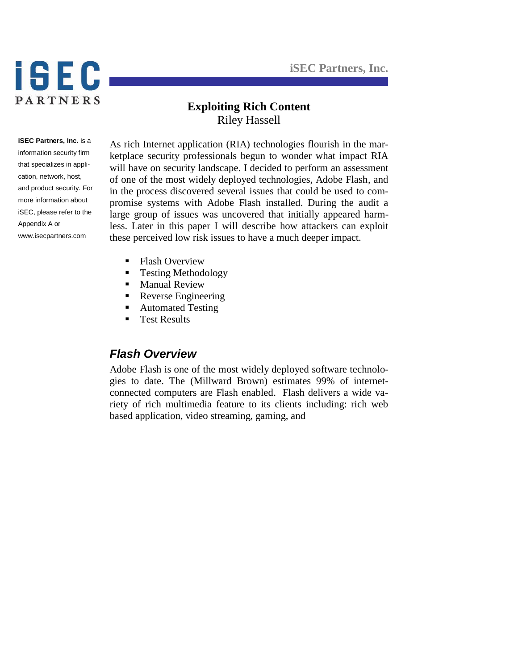**iSEC Partners, Inc.**



## **Exploiting Rich Content** Riley Hassell

**iSEC Partners, Inc.** is a information security firm that specializes in application, network, host, and product security. For more information about iSEC, please refer to the Appendix A or www.isecpartners.com

As rich Internet application (RIA) technologies flourish in the marketplace security professionals begun to wonder what impact RIA will have on security landscape. I decided to perform an assessment of one of the most widely deployed technologies, Adobe Flash, and in the process discovered several issues that could be used to compromise systems with Adobe Flash installed. During the audit a large group of issues was uncovered that initially appeared harmless. Later in this paper I will describe how attackers can exploit these perceived low risk issues to have a much deeper impact.

- **Flash Overview**
- **Testing Methodology**
- **Manual Review**
- **Reverse Engineering**
- Automated Testing
- Test Results

## *Flash Overview*

Adobe Flash is one of the most widely deployed software technologies to date. The (Millward Brown) estimates 99% of internetconnected computers are Flash enabled. Flash delivers a wide variety of rich multimedia feature to its clients including: rich web based application, video streaming, gaming, and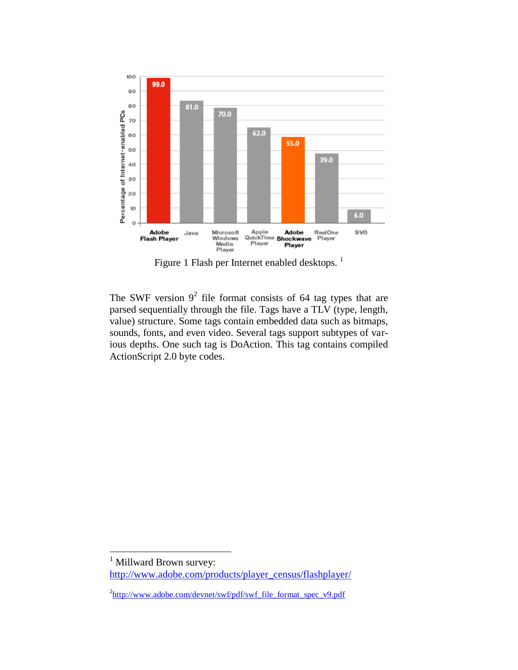

Figure 1 Flash per Internet enabled desktops.<sup>1</sup>

The SWF version  $9^2$  file format consists of 64 tag types that are parsed sequentially through the file. Tags have a TLV (type, length, value) structure. Some tags contain embedded data such as bitmaps, sounds, fonts, and even video. Several tags support subtypes of various depths. One such tag is DoAction. This tag contains compiled ActionScript 2.0 byte codes.

 $\overline{a}$ 

Millward Brown survey:

[http://www.adobe.com/products/player\\_census/flashplayer/](http://www.adobe.com/products/player_census/flashplayer/)

<sup>&</sup>lt;sup>2</sup>[http://www.adobe.com/devnet/swf/pdf/swf\\_file\\_format\\_spec\\_v9.pdf](http://www.adobe.com/devnet/swf/pdf/swf_file_format_spec_v9.pdf)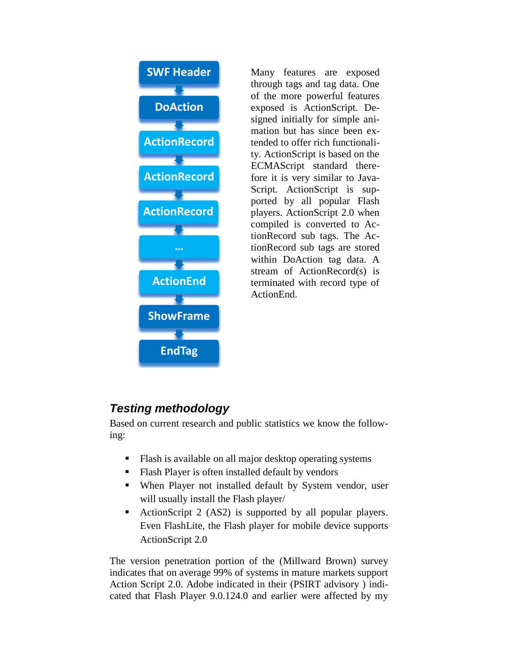

Many features are exposed through tags and tag data. One of the more powerful features exposed is ActionScript. Designed initially for simple animation but has since been extended to offer rich functionality. ActionScript is based on the ECMAScript standard therefore it is very similar to Java-Script. ActionScript is supported by all popular Flash players. ActionScript 2.0 when compiled is converted to ActionRecord sub tags. The ActionRecord sub tags are stored within DoAction tag data. A stream of ActionRecord(s) is terminated with record type of ActionEnd.

# *Testing methodology*

Based on current research and public statistics we know the following:

- Flash is available on all major desktop operating systems
- Flash Player is often installed default by vendors
- When Player not installed default by System vendor, user will usually install the Flash player/
- ActionScript 2 (AS2) is supported by all popular players. Even FlashLite, the Flash player for mobile device supports ActionScript 2.0

The version penetration portion of the (Millward Brown) survey indicates that on average 99% of systems in mature markets support Action Script 2.0. Adobe indicated in their (PSIRT advisory ) indicated that Flash Player 9.0.124.0 and earlier were affected by my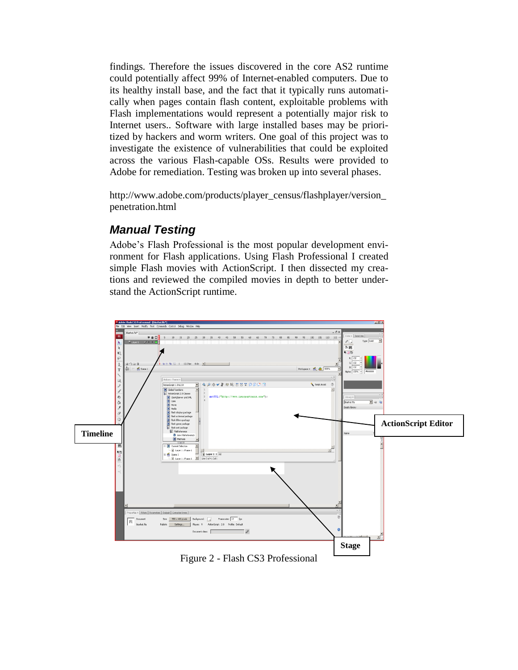findings. Therefore the issues discovered in the core AS2 runtime could potentially affect 99% of Internet-enabled computers. Due to its healthy install base, and the fact that it typically runs automatically when pages contain flash content, exploitable problems with Flash implementations would represent a potentially major risk to Internet users.. Software with large installed bases may be prioritized by hackers and worm writers. One goal of this project was to investigate the existence of vulnerabilities that could be exploited across the various Flash-capable OSs. Results were provided to Adobe for remediation. Testing was broken up into several phases.

http://www.adobe.com/products/player\_census/flashplayer/version\_ penetration.html

# *Manual Testing*

Adobe's Flash Professional is the most popular development environment for Flash applications. Using Flash Professional I created simple Flash movies with ActionScript. I then dissected my creations and reviewed the compiled movies in depth to better understand the ActionScript runtime.



Figure 2 - Flash CS3 Professional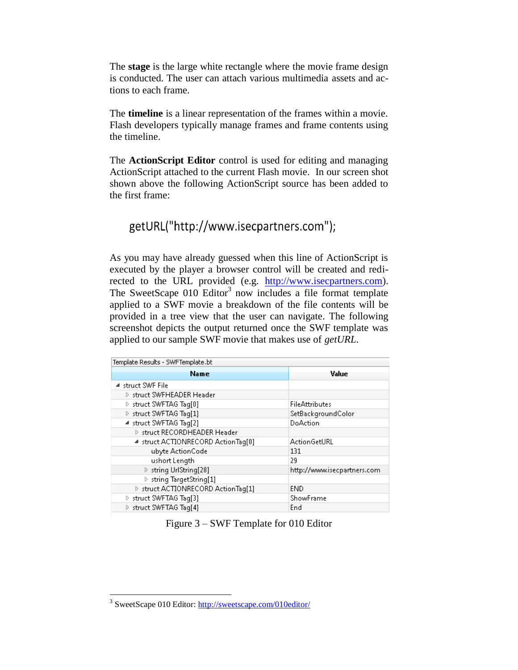The **stage** is the large white rectangle where the movie frame design is conducted. The user can attach various multimedia assets and actions to each frame.

The **timeline** is a linear representation of the frames within a movie. Flash developers typically manage frames and frame contents using the timeline.

The **ActionScript Editor** control is used for editing and managing ActionScript attached to the current Flash movie. In our screen shot shown above the following ActionScript source has been added to the first frame:

# getURL("http://www.isecpartners.com");

As you may have already guessed when this line of ActionScript is executed by the player a browser control will be created and redirected to the URL provided (e.g. [http://www.isecpartners.com\)](http://www.isecpartners.com/). The SweetScape 010 Editor<sup>3</sup> now includes a file format template applied to a SWF movie a breakdown of the file contents will be provided in a tree view that the user can navigate. The following screenshot depicts the output returned once the SWF template was applied to our sample SWF movie that makes use of *getURL*.

| Template Results - SWFTemplate.bt  |                             |
|------------------------------------|-----------------------------|
| <b>Name</b>                        | Value                       |
| ⊿ struct SWF File                  |                             |
| ▷ struct SWFHEADER Header          |                             |
| ▷ struct SWFTAG Tag[0]             | <b>FileAttributes</b>       |
| ▷ struct SWFTAG Taq[1]             | SetBackgroundColor          |
| ■ struct SWFTAG Tag[2]             | DoAction                    |
| > struct RECORDHEADER Header       |                             |
| ▲ struct ACTIONRECORD ActionTag[0] | ActionGetURL                |
| ubyte ActionCode                   | 131                         |
| ushort Length                      | 29                          |
| ▷ string UrlString[28]             | http://www.isecpartners.com |
| ▷ string TargetString[1]           |                             |
| ▶ struct ACTIONRECORD ActionTag[1] | <b>END</b>                  |
| ▶ struct SWFTAG Tag[3]             | ShowFrame                   |
| ▶ struct SWFTAG Taq[4]             | End                         |

Figure 3 – SWF Template for 010 Editor

 $\overline{a}$ 

<sup>&</sup>lt;sup>3</sup> SweetScape 010 Editor:<http://sweetscape.com/010editor/>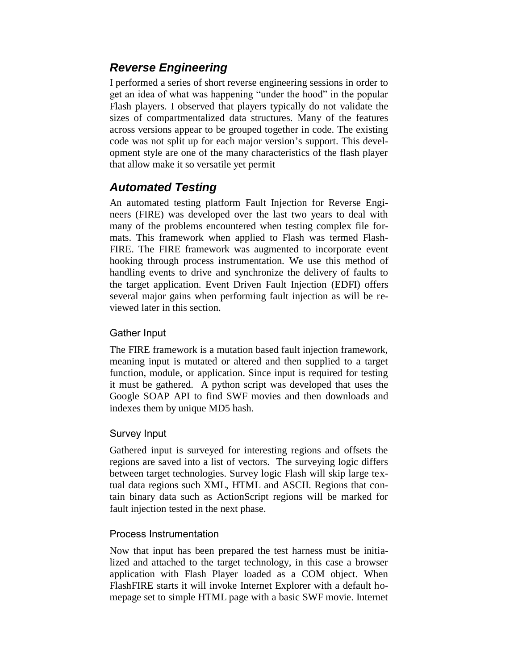# *Reverse Engineering*

I performed a series of short reverse engineering sessions in order to get an idea of what was happening "under the hood" in the popular Flash players. I observed that players typically do not validate the sizes of compartmentalized data structures. Many of the features across versions appear to be grouped together in code. The existing code was not split up for each major version's support. This development style are one of the many characteristics of the flash player that allow make it so versatile yet permit

# *Automated Testing*

An automated testing platform Fault Injection for Reverse Engineers (FIRE) was developed over the last two years to deal with many of the problems encountered when testing complex file formats. This framework when applied to Flash was termed Flash-FIRE. The FIRE framework was augmented to incorporate event hooking through process instrumentation. We use this method of handling events to drive and synchronize the delivery of faults to the target application. Event Driven Fault Injection (EDFI) offers several major gains when performing fault injection as will be reviewed later in this section.

## Gather Input

The FIRE framework is a mutation based fault injection framework, meaning input is mutated or altered and then supplied to a target function, module, or application. Since input is required for testing it must be gathered. A python script was developed that uses the Google SOAP API to find SWF movies and then downloads and indexes them by unique MD5 hash.

## Survey Input

Gathered input is surveyed for interesting regions and offsets the regions are saved into a list of vectors. The surveying logic differs between target technologies. Survey logic Flash will skip large textual data regions such XML, HTML and ASCII. Regions that contain binary data such as ActionScript regions will be marked for fault injection tested in the next phase.

## Process Instrumentation

Now that input has been prepared the test harness must be initialized and attached to the target technology, in this case a browser application with Flash Player loaded as a COM object. When FlashFIRE starts it will invoke Internet Explorer with a default homepage set to simple HTML page with a basic SWF movie. Internet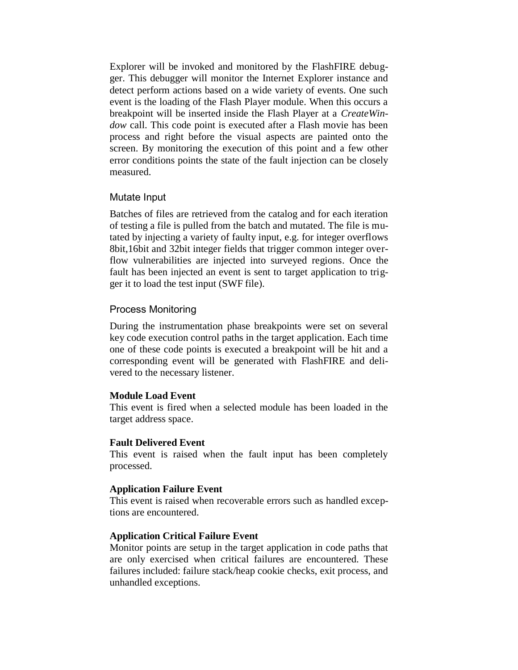Explorer will be invoked and monitored by the FlashFIRE debugger. This debugger will monitor the Internet Explorer instance and detect perform actions based on a wide variety of events. One such event is the loading of the Flash Player module. When this occurs a breakpoint will be inserted inside the Flash Player at a *CreateWindow* call. This code point is executed after a Flash movie has been process and right before the visual aspects are painted onto the screen. By monitoring the execution of this point and a few other error conditions points the state of the fault injection can be closely measured.

#### Mutate Input

Batches of files are retrieved from the catalog and for each iteration of testing a file is pulled from the batch and mutated. The file is mutated by injecting a variety of faulty input, e.g. for integer overflows 8bit,16bit and 32bit integer fields that trigger common integer overflow vulnerabilities are injected into surveyed regions. Once the fault has been injected an event is sent to target application to trigger it to load the test input (SWF file).

#### Process Monitoring

During the instrumentation phase breakpoints were set on several key code execution control paths in the target application. Each time one of these code points is executed a breakpoint will be hit and a corresponding event will be generated with FlashFIRE and delivered to the necessary listener.

#### **Module Load Event**

This event is fired when a selected module has been loaded in the target address space.

#### **Fault Delivered Event**

This event is raised when the fault input has been completely processed.

#### **Application Failure Event**

This event is raised when recoverable errors such as handled exceptions are encountered.

#### **Application Critical Failure Event**

Monitor points are setup in the target application in code paths that are only exercised when critical failures are encountered. These failures included: failure stack/heap cookie checks, exit process, and unhandled exceptions.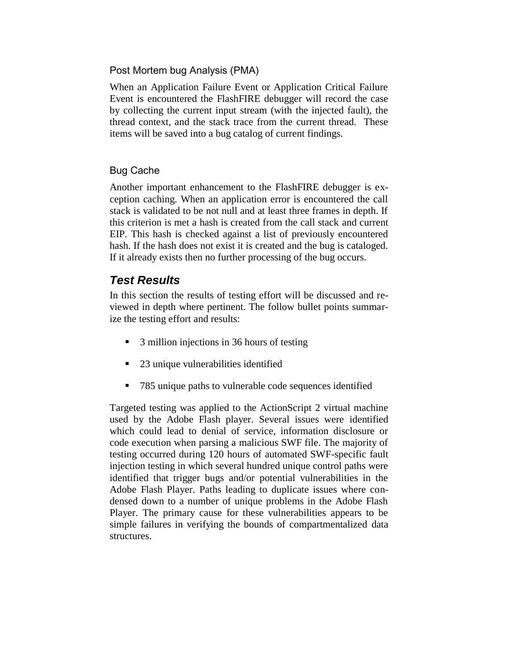## Post Mortem bug Analysis (PMA)

When an Application Failure Event or Application Critical Failure Event is encountered the FlashFIRE debugger will record the case by collecting the current input stream (with the injected fault), the thread context, and the stack trace from the current thread. These items will be saved into a bug catalog of current findings.

## Bug Cache

Another important enhancement to the FlashFIRE debugger is exception caching. When an application error is encountered the call stack is validated to be not null and at least three frames in depth. If this criterion is met a hash is created from the call stack and current EIP. This hash is checked against a list of previously encountered hash. If the hash does not exist it is created and the bug is cataloged. If it already exists then no further processing of the bug occurs.

## *Test Results*

In this section the results of testing effort will be discussed and reviewed in depth where pertinent. The follow bullet points summarize the testing effort and results:

- 3 million injections in 36 hours of testing
- 23 unique vulnerabilities identified
- 785 unique paths to vulnerable code sequences identified

Targeted testing was applied to the ActionScript 2 virtual machine used by the Adobe Flash player. Several issues were identified which could lead to denial of service, information disclosure or code execution when parsing a malicious SWF file. The majority of testing occurred during 120 hours of automated SWF-specific fault injection testing in which several hundred unique control paths were identified that trigger bugs and/or potential vulnerabilities in the Adobe Flash Player. Paths leading to duplicate issues where condensed down to a number of unique problems in the Adobe Flash Player. The primary cause for these vulnerabilities appears to be simple failures in verifying the bounds of compartmentalized data structures.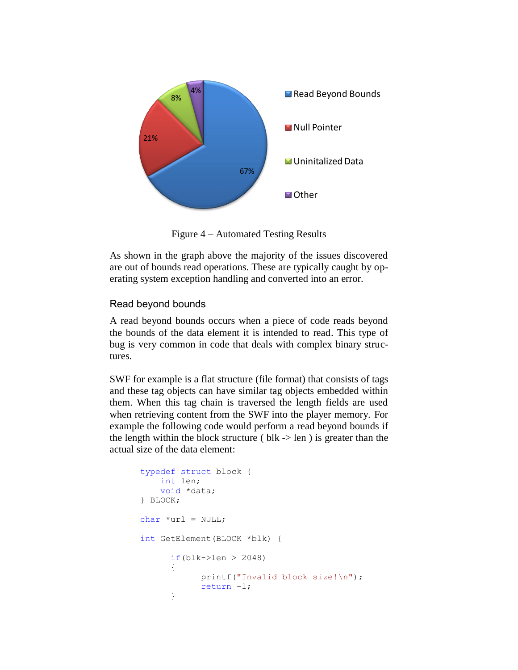

Figure 4 – Automated Testing Results

As shown in the graph above the majority of the issues discovered are out of bounds read operations. These are typically caught by operating system exception handling and converted into an error.

## Read beyond bounds

A read beyond bounds occurs when a piece of code reads beyond the bounds of the data element it is intended to read. This type of bug is very common in code that deals with complex binary structures.

SWF for example is a flat structure (file format) that consists of tags and these tag objects can have similar tag objects embedded within them. When this tag chain is traversed the length fields are used when retrieving content from the SWF into the player memory. For example the following code would perform a read beyond bounds if the length within the block structure ( $blk$  -> len) is greater than the actual size of the data element:

```
typedef struct block {
     int len;
     void *data;
} BLOCK;
char *url = NULL;int GetElement(BLOCK *blk) {
      if(blk->len > 2048){
            printf("Invalid block size!\n");
            return -1;
      }
```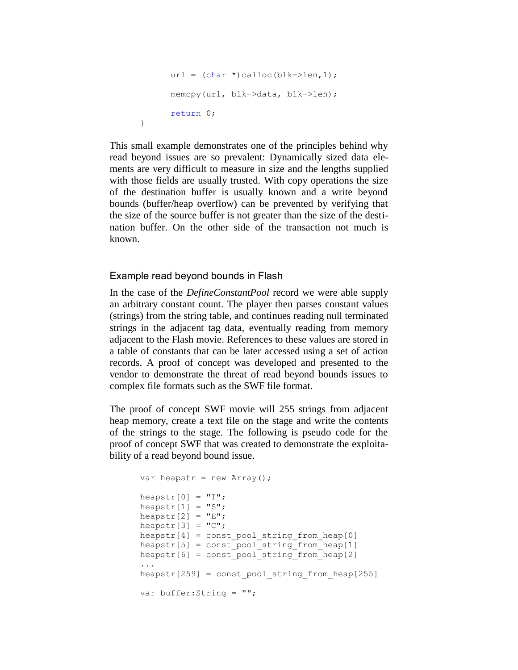```
url = (char *) calloc(blk->len,1);memcpy(url, blk->data, blk->len);
return 0;
```
This small example demonstrates one of the principles behind why read beyond issues are so prevalent: Dynamically sized data elements are very difficult to measure in size and the lengths supplied with those fields are usually trusted. With copy operations the size of the destination buffer is usually known and a write beyond bounds (buffer/heap overflow) can be prevented by verifying that the size of the source buffer is not greater than the size of the destination buffer. On the other side of the transaction not much is known.

### Example read beyond bounds in Flash

}

In the case of the *DefineConstantPool* record we were able supply an arbitrary constant count. The player then parses constant values (strings) from the string table, and continues reading null terminated strings in the adjacent tag data, eventually reading from memory adjacent to the Flash movie. References to these values are stored in a table of constants that can be later accessed using a set of action records. A proof of concept was developed and presented to the vendor to demonstrate the threat of read beyond bounds issues to complex file formats such as the SWF file format.

The proof of concept SWF movie will 255 strings from adjacent heap memory, create a text file on the stage and write the contents of the strings to the stage. The following is pseudo code for the proof of concept SWF that was created to demonstrate the exploitability of a read beyond bound issue.

```
var heapstr = new Array();
heapstr[0] = "I";heapstr[1] = "S";heapstr[2] = "E";heapstr[3] = "C";heapstr[4] = const pool string from heap[0]heapstr[5] = const pool string from heap[1]
heapstr[6] = const pool string from heap[2]...
heapstr[259] = const pool string from heap[255]var buffer:String = "";
```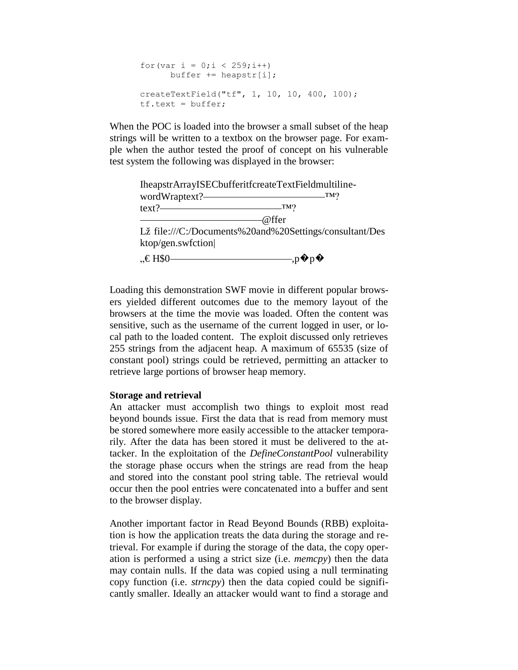```
for(var i = 0; i < 259; i++)buffer += heapstr[i];
createTextField("tf", 1, 10, 10, 400, 100);
tf.text = buffer;
```
When the POC is loaded into the browser a small subset of the heap strings will be written to a textbox on the browser page. For example when the author tested the proof of concept on his vulnerable test system the following was displayed in the browser:



Loading this demonstration SWF movie in different popular browsers yielded different outcomes due to the memory layout of the browsers at the time the movie was loaded. Often the content was sensitive, such as the username of the current logged in user, or local path to the loaded content. The exploit discussed only retrieves 255 strings from the adjacent heap. A maximum of 65535 (size of constant pool) strings could be retrieved, permitting an attacker to retrieve large portions of browser heap memory.

#### **Storage and retrieval**

An attacker must accomplish two things to exploit most read beyond bounds issue. First the data that is read from memory must be stored somewhere more easily accessible to the attacker temporarily. After the data has been stored it must be delivered to the attacker. In the exploitation of the *DefineConstantPool* vulnerability the storage phase occurs when the strings are read from the heap and stored into the constant pool string table. The retrieval would occur then the pool entries were concatenated into a buffer and sent to the browser display.

Another important factor in Read Beyond Bounds (RBB) exploitation is how the application treats the data during the storage and retrieval. For example if during the storage of the data, the copy operation is performed a using a strict size (i.e. *memcpy*) then the data may contain nulls. If the data was copied using a null terminating copy function (i.e. *strncpy*) then the data copied could be significantly smaller. Ideally an attacker would want to find a storage and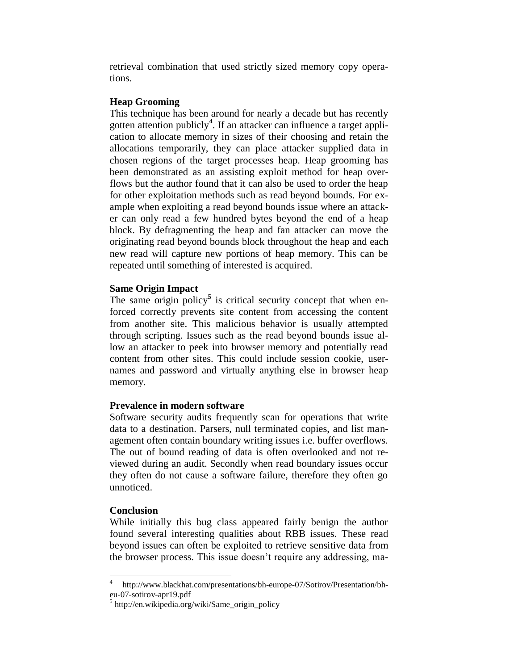retrieval combination that used strictly sized memory copy operations.

### **Heap Grooming**

This technique has been around for nearly a decade but has recently gotten attention publicly<sup>4</sup>. If an attacker can influence a target application to allocate memory in sizes of their choosing and retain the allocations temporarily, they can place attacker supplied data in chosen regions of the target processes heap. Heap grooming has been demonstrated as an assisting exploit method for heap overflows but the author found that it can also be used to order the heap for other exploitation methods such as read beyond bounds. For example when exploiting a read beyond bounds issue where an attacker can only read a few hundred bytes beyond the end of a heap block. By defragmenting the heap and fan attacker can move the originating read beyond bounds block throughout the heap and each new read will capture new portions of heap memory. This can be repeated until something of interested is acquired.

#### **Same Origin Impact**

The same origin policy<sup>5</sup> is critical security concept that when enforced correctly prevents site content from accessing the content from another site. This malicious behavior is usually attempted through scripting. Issues such as the read beyond bounds issue allow an attacker to peek into browser memory and potentially read content from other sites. This could include session cookie, usernames and password and virtually anything else in browser heap memory.

### **Prevalence in modern software**

Software security audits frequently scan for operations that write data to a destination. Parsers, null terminated copies, and list management often contain boundary writing issues i.e. buffer overflows. The out of bound reading of data is often overlooked and not reviewed during an audit. Secondly when read boundary issues occur they often do not cause a software failure, therefore they often go unnoticed.

### **Conclusion**

 $\overline{a}$ 

While initially this bug class appeared fairly benign the author found several interesting qualities about RBB issues. These read beyond issues can often be exploited to retrieve sensitive data from the browser process. This issue doesn't require any addressing, ma-

<sup>4</sup> http://www.blackhat.com/presentations/bh-europe-07/Sotirov/Presentation/bheu-07-sotirov-apr19.pdf

<sup>5</sup> http://en.wikipedia.org/wiki/Same\_origin\_policy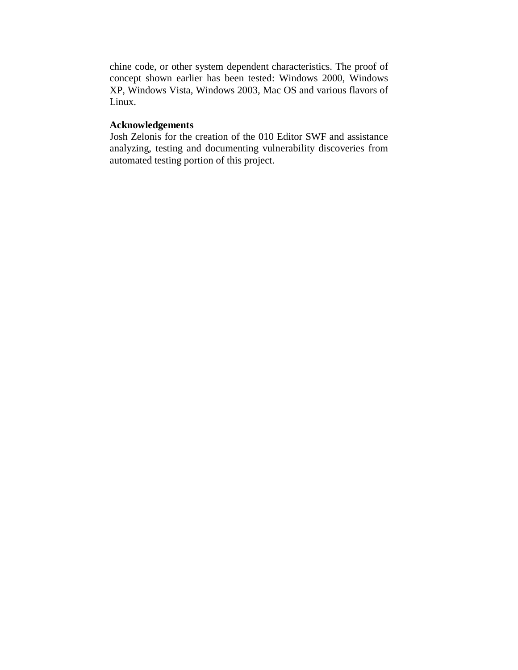chine code, or other system dependent characteristics. The proof of concept shown earlier has been tested: Windows 2000, Windows XP, Windows Vista, Windows 2003, Mac OS and various flavors of Linux.

### **Acknowledgements**

Josh Zelonis for the creation of the 010 Editor SWF and assistance analyzing, testing and documenting vulnerability discoveries from automated testing portion of this project.